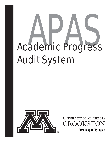# **Academic Progress** Audit System



UNIVERSITY OF MINNESOTA CROOKSTON

**Small Campus. Big Degree.**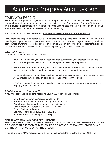# Academic Progress Audit System

## Your APAS Report

The Academic Progress Audit System (APAS) report provides students and advisers with accurate reports on how students are meeting the requirements for the specified program of study. APAS reports are an individualized, computerized record that compares all completed and in-progress coursework (including transfer credits) with the requirements for a particular major.

Your APAS report is available on line at: **http://onestop.UMCrookston.edu/registration/**

APAS produces a report, or degree audit, that reflects your progress toward completion of an undergraduate degree in your declared or proposed major. The APAS report shows how your University of Minnesota courses, transfer courses, and courses in progress all apply to your degree requirements. It should be used as a tool to assist you and your adviser in planning your future coursework.

### **Why use APAS?**

Here are just a few benefits of using APAS:

- Your APAS report lists your degree requirements, summarizes your progress to date, and explains what you will need to do to complete your declared degree program.
- APAS draws its information from your on-line student record; therefore, each time the report is processed you can be assured that it contains the most up-to-date information.
- By summarizing the courses from which you can choose to complete your degree requirements, APAS ensures that you stay on track and not take unnecessary courses.
- APAS facilitates advising, allowing less time spent reviewing past course work and more time helping you plan for the future.

### **APAS Help for . . . Problems?**

If you are experiencing problems accessing your APAS report, please contact:

- **URL:** http://www.umn.edu/adcs/info/helpline.html
- **Phone:** 612/301-4357 (1-HELP) (during all listed hours)
- **E-mail:** darweb@umn.edu (only weekdays until 5 p.m.)
- **Hours:** Monday Thursday: 8:00 a.m. 11:00 p.m. Friday: 8:00 a.m. - 5:00 p.m. Saturday (phone only): 12:00 p.m. - 5:00 p.m. Sunday (phone only): 5:00 p.m. - 11:00 p.m.

### **Note to Advisers Regarding APAS Reports**

THE FAMILY EDUCATIONAL RIGHTS AND PRIVACY ACT OF 1974 AS AMMENDED PROHIBITS THE RELEASE OF THIS RECORD OR DISCLOSURE OF ITS CONTENTS TO ANY THIRD PARTY WITH-OUT THE WRITTEN CONSENT OF THE STUDENT.

If you believe your APAS report contains errors, please contact the Registrar's Office, 9 Hill Hall.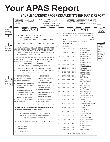# **Your APAS Report**

### **SAMPLE ACADEMIC PROGRESS AUDIT SYSTEM (APAS) REPORT**

| $\mathbf{2}$                       | PREPARED: 08/14/08 - 10:48<br>PROGRAM:<br><b>CDAR6.04</b><br>1234567<br>Doe, John Jacob                                                                                                           | University of Minnesota, Crookston<br>ACADEMIC PROGRESS AUDIT REPORT<br><b>ACCOUNTING - BS</b><br>PROGRAM: 1000400201<br>PAGE 1<br><b>BACHELOR OF SCIENCE</b><br><b>BULLETIN T/YR: F 2007</b><br>University of Minnesota |                          |             |                             |         |                                                           |                                                   |                                           |
|------------------------------------|---------------------------------------------------------------------------------------------------------------------------------------------------------------------------------------------------|--------------------------------------------------------------------------------------------------------------------------------------------------------------------------------------------------------------------------|--------------------------|-------------|-----------------------------|---------|-----------------------------------------------------------|---------------------------------------------------|-------------------------------------------|
| General<br>student<br>information. | <b>COLUMN1</b>                                                                                                                                                                                    | <b>COLUMN 2</b>                                                                                                                                                                                                          |                          |             |                             |         |                                                           | ❶<br>Report<br>Heading<br>(see page 3)            |                                           |
| (see page 3)                       | LAST ENROLLMENT: FALL 2008<br>28UGR<br>LAST COLLEGE:<br>ADVISER: Crawford, David Lee, Ph.D.                                                                                                       | NO.<br>120 CREDITS AND A 2.00 GPA ARE REQUIRED FOR GRADUATION<br>$+$ 1)<br>2.00 CUM GPA REQUIRED FOR ALL UNIV OF MINN COURSE WORK<br>3.375 GPA<br>NEEDS:<br>2.000 GPA                                                    |                          |             |                             |         |                                                           |                                                   |                                           |
|                                    | AT LEAST ONE REQUIREMENT HAS NOT BEEN SATISFIED                                                                                                                                                   | $-2)$<br>120 TOTAL CREDITS INCLUDING TRANSFER WORK<br>95.00 CREDITS USED                                                                                                                                                 |                          |             |                             |         |                                                           | 6<br>Requirement                                  |                                           |
| 0<br>Completion<br>status line.    | THIS REPORT HAS BEEN PREPARED TO ASSIST YOU IN DETERMINING YOUR                                                                                                                                   | IN-PROG:<br>F 05                                                                                                                                                                                                         | 15.00 CREDITS<br>5BIOL   | 1T048       | $3.0$ B                     |         | Human Biology I                                           | blocks and<br>symbols that                        |                                           |
| (see page 3)                       | ACADEMIC PROGRESS AT THE UNIVERSITY OF MINNESOTA. WHILE EVERY<br>EFFORT HAS BEEN MADE TO INSURE ITS ACCURACY, FINAL RESPONSIBIL-<br>ITY FOR MEETING GRADUATION REQUIREMENTS RESIDES WITH YOU. FOR | F 05                                                                                                                                                                                                                     | 5COMP 1011               |             | 4.0                         | $C +$   | CNTL LKS: BIOL1404<br>Composition I<br>CNTL LKS: ENGL1410 | indicate<br>whether<br>requirements               |                                           |
|                                    | FURTHER INFORMATION, CONTACT YOUR ADVISER.                                                                                                                                                        |                                                                                                                                                                                                                          | F 05                     | 5PER        | 1561                        | $1.0\,$ | A                                                         | <b>Body Conditioning</b><br>CNTL LKS: PHED1521    | are partially<br>or totally<br>completed. |
|                                    | COURSE FORMAT: CAMPUS CODE/COURSE DESIGNATOR/COURSE NUMBER<br>CAMPUS CODES: 1-TWIN CITIES                                                                                                         | 3-DULUTH<br>4-MORRIS                                                                                                                                                                                                     | SP <sub>O6</sub>         | 5COMP 1013  |                             | 4.0     | $B+$                                                      | Comp II<br>CNTL LKS: ENGL1411                     | (see page 4)                              |
|                                    | 5-CROOKSTON<br>(EXAMPLE: 1PSY 1001 = TWIN CITIES, PSYCHOLOGY 1001)                                                                                                                                | SP <sub>06</sub>                                                                                                                                                                                                         | 5MATH 1250               |             | 5.0                         | $C +$   | Precalculus<br>CNTL LKS: MATH1472                         |                                                   |                                           |
|                                    | TRANSFERRED COURSES (NOT U OF M) HAVE NO CAMPUS CODE<br>NOTE: '*' IN COURSE DESIGNATOR OR NUMBER MATCHES ANY CHARACTER                                                                            | SP <sub>06</sub>                                                                                                                                                                                                         | 5SPAN 1204               |             | 4.0                         | B       | Beg Spanish II<br>CNTL LKS: SPAN1502                      |                                                   |                                           |
|                                    | * * * * * * * * * * * * * * * *                                                                                                                                                                   | F 06                                                                                                                                                                                                                     | 5COMM 1T052              |             | 3.0                         | B       | Interperson1 Comm<br>CNTL LKS: SPCH1421                   |                                                   |                                           |
| Œ                                  | ---- REQUIREMENT SYMBOLS ----<br>NO -REQUIREMENT NOT COMPLETED                                                                                                                                    | - - - - COURSE SYMBOLS - - - -<br>>C -CROSS-LISTED COURSES, ONLY                                                                                                                                                         | F 06                     | 5NATR 1T049 |                             | 3.0     | A                                                         | Gen Ecology<br>CNTL LKS: BIOL2416                 |                                           |
| <b>Symbols</b><br>used in the      | OK -REQUIREMENT COMPLETE                                                                                                                                                                          | ONE OF A SET COUNTS                                                                                                                                                                                                      | F 06                     | 5PER        | 1T051                       | $1.0\,$ | A                                                         | Walking, Jogging & Fitness<br>CNTL LKS: PHED1505  |                                           |
| APAS report.<br>(see page 3)       | IP -REQUIREMENT/SUB-REQUIREMENT<br>COMPLETED USING IN-PROGRESS                                                                                                                                    | >D -DUPLICATE, COURSE TAKEN<br>MULTIPLE TIMES COUNTS ONCE                                                                                                                                                                | F 06                     | 5POL        | 1001                        | 3.0     | $B+$                                                      | Am Gov't & Politics<br>CNTL LKS: POLS1435         |                                           |
|                                    | COURSEWORK<br>-SUBREQUIREMENT COMPLETE<br>$^{+}$                                                                                                                                                  | (THIS ONE DOESN'T COUNT)<br>-COURSE IN PROGRESS<br>IP                                                                                                                                                                    | F 06                     | 5PSY        | 1001                        | 4.0     | A                                                         | Gen Psych I<br>CNTL LKS: PSYC2421                 |                                           |
|                                    | -SUBREQUIREMENT NOT COMPLETE                                                                                                                                                                      | >R -REPEATABLE COURSE, COUNTS<br>MORE THAN ONCE                                                                                                                                                                          | F 06                     | 5SOC        | 1102                        | 3.0     | $\mathbf{B}$                                              | Cultural Anthropology<br>CNTL LKS: ANTH1457       |                                           |
|                                    | -SUBREQUIREMENT COMPLETION<br>SYMBOL (+ OR -) NOT NEEDED                                                                                                                                          | $>$ -CREDITS FOR THIS COURSE                                                                                                                                                                                             | SP07                     | 5ACCT 1T046 |                             | 1.0     | A                                                         | Accounting Principles I Lab<br>CNTL LKS: ACCT2111 |                                           |
|                                    | R -MANDATORY SUBREQUIREMENT<br>CW -COURSE WAIVED                                                                                                                                                  | SPLIT BETWEEN REQUIREMENTS<br><b>RW-REQUIREMENT WAIVED</b>                                                                                                                                                               | SP07                     | 5ACCT 2101  |                             | 4.0 A   |                                                           | Acct Princ I<br>CNTL LKS: ACCT2011                |                                           |
|                                    |                                                                                                                                                                                                   | SP07                                                                                                                                                                                                                     | 5ART                     | 1T047       | $3.0$ B-                    |         | Ceramics: Beginning Throwing<br>CNTL LKS: ARTS1488        |                                                   |                                           |
|                                    | EX -GRADE USED ON CREDIT BY EXAM (CLEP, ADV PLACEMENT, SPEC EXAM)<br>(R) -IN COURSE LIST, IDENTIFIES A REQUIRED COURSE                                                                            | SP07                                                                                                                                                                                                                     | 5COMM 1T053              |             | $3.0$ B                     |         | Intercultrl<br>CNTL LKS: SPCH2421                         |                                                   |                                           |
|                                    | A COURSE IN BRACKETS IS A SEMESTER SUBSTITUTION FOR THE                                                                                                                                           | SP07                                                                                                                                                                                                                     | 5LIT                     | 1005        | $3.0\quad A$                |         | Intro to Lit<br>CNTL LKS: ENGL1463                        |                                                   |                                           |
|                                    | QUARTER COURSE PRECEDING IT IN THE SELECT FROM LIST<br>EXAMPLE: 5COMP3024 = (5COMP 3303)                                                                                                          | SP07                                                                                                                                                                                                                     | 5MUS                     | 1T050       | $3.0\quad A$                |         | Evolution of Jazz<br>CNTL LKS: MUSC2401                   |                                                   |                                           |
|                                    | * * * * * * CONTINUED ON COLUMN 2 PAGE 1 * * * * * *                                                                                                                                              | SI07                                                                                                                                                                                                                     | 5ACCT 1T054              |             | 1.0 A                       |         | Accounting Principles II Lab<br>CNTL LKS: ACCT2112        |                                                   |                                           |
|                                    | ★                                                                                                                                                                                                 | SI07                                                                                                                                                                                                                     | 5ACCT 2102               |             | 4.0 A                       |         | Acct Prin II<br>CNTL LKS: ACCT2012                        |                                                   |                                           |
|                                    | DOE, JOHN JACOB<br>$\star$<br>★<br>4312 MAIN STREET<br>$\star$                                                                                                                                    | F 07<br>F 07                                                                                                                                                                                                             | 5ACCT 3201<br>5ACCT 3301 |             | $4.0 \t C+$<br>$3.0\quad A$ |         | Interm Acct I<br>Cost Accounting I                        |                                                   |                                           |
|                                    | CROOKSTON MN 56716<br>$\star$<br>-------------------                                                                                                                                              |                                                                                                                                                                                                                          |                          |             |                             |         | * * * * * * CONTINUED ON COLUMN 3 PAGE 2 * * * * * *      |                                                   |                                           |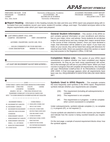PREPARED: 08/14/08 - 10:48 PROGRAM: CDAR6.04 1234567 Doe, John Jacob

University of Minnesota, Crookston ACCOUNTING - BS BACHELOR OF SCIENCE University of Minnesota

ACADEMIC PROGRESS AUDIT REPORT PROGRAM: 1000400201 PAGE 1 BULLETIN T/YR: F 2007

*APAS REPORT SYMBOLS*

**Report Heading** – Information in this heading includes the date and time your APAS report was prepared along with in-**1** formation from your academic record: your name, student ID number, college, and major. The bulletin term/year refers to the degree requirements under which your report was prepared.

 LAST ENROLLMENT: FALL 2008 **2** CAMPUS: CROOKSTON UNIT: CROOKSTON

ADVISER: CRAWFORD, DAVID LEE, PH.D.

- - - - HOLDS CURRENTLY ON YOUR RECORD - - - - CODE DESCRIPTION WHERE TO CLEAR

**General Student Information** – This section of the APAS report contains general information on your enrollment and information on your major, minor, and adviser. Some students do not declare majors for several terms and may change their majors several times in the course of their University careers. Once you have declared a major, that information will be added to your report. If you have any holds on your record, they will be listed here along with directions for clearing those holds. Direct any questions about this section or report any inaccuracies to the Registrar's Office, 9 Hill Hall.

**3**

->AT LEAST ONE REQUIREMENT HAS NOT BEEN SATISFIED<-

**Completion Status Line** – This section of your APAS report summarizes at a glance whether you have completed your degree requirements. As long as you have some requirements still unmet, this is the message you will see on your APAS report. When you have courses in progress that will complete all requirements, this message will read: PROGRAM COMPLETED IF IN PROGRESS COURSES ARE USED. A final message appears when all requirements have been met: ALL REQUIREMENTS IDENTIFIED BELOW HAVE BEEN MET.

### **4**

HHHHHHHHHHHHHHHHHHHHHHHHHHHH LEGEND HHHHHHHHHHHHHHHHHHHHHHHHHHHH COURSE FORMAT: CAMPUS CODE/COURSE DESIGNATOR/COURSE NUMBER CAMPUS CODES: 1-TWIN CITIES 3-DULUTH 4-MORRIS 5-CROOKSTON 7-ROCHESTER (EXAMPLE: 1PSY 1001 = TWIN CITIES, PSYCHOLOGY 1001) TRANSFERRED COURSES (NOT U OF M) HAVE NO CAMPUS CODE NOTE:  ${}^\star{}^\star$  IN COURSE DESIGNATOR OR NUMBER MATCHES ANY CHARACTER

#### \* \* \* \* \* \* \* \* \* \* \* \* \*

|    | - - - - REQUIREMENT SYMBOLS - - - - | - - - - COURSE SYMBOLS - - - -    |  |
|----|-------------------------------------|-----------------------------------|--|
|    | NO -REQUIREMENT NOT COMPLETED       | >C -CROSS-LISTED COURSES, ONLY    |  |
|    | OK -REQUIREMENT COMPLETE            | ONE OF A SET COUNTS               |  |
| IP | -REQUIREMENT/SUB-REQUIREMENT        | >D -DUPLICATE, COURSE TAKEN       |  |
|    | COMPLETED USING IN-PROGRESS         | MULTIPLE TIMES COUNTS ONCE        |  |
|    | COURSEWORK                          | (THIS ONE DOESN'T COUNT)          |  |
|    | -SUBREQUIREMENT COMPLETE            | -COURSE IN PROGRESS<br>ΙP         |  |
|    | -SUBREQUIREMENT NOT COMPLETE        | >R - REPEATABLE COURSE, COUNTS    |  |
|    | -SUBREQUIREMENT COMPLETION          | MORE THAN ONCE                    |  |
|    | SYMBOL (+ OR -) NOT NEEDED          | $>$ S -CREDITS FOR THIS COURSE    |  |
| R  | -MANDATORY SUBREQUIREMENT           | <b>SPLIT BETWEEN REQUIREMENTS</b> |  |
|    | CW-COURSE WAIVED                    | RW -REQUIREMENT WAIVED            |  |

**Symbols Used in APAS Reports** – This example contains the most frequently used symbols in the APAS report. Requirement symbols indicate whether your requirements are complete:

- (OK) This requirement (including all subrequirements) is complete
- (NO) This requirement is not complete.
- (IP) This requirement is in progress it will be complete when current coursework is completed.

Under subrequirements, symbols indicate complete (+), no complete (-), in progress (IP), or not required (\*).

Course symbols are attached to some of the courses you have taken and indicate how the course is being counted towards you requirements.

On the next page, a sample of several requirement blocks show: how the symbols appear.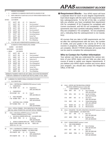| IP       |              | RESIDENCY REQUIREMENT                                                |                |     |            |                                                                                                                                      |  |  |
|----------|--------------|----------------------------------------------------------------------|----------------|-----|------------|--------------------------------------------------------------------------------------------------------------------------------------|--|--|
| $+$      | 1)           | A MINIMYM OF 30 SEMESTER CREDITS MUST BE AWARDED BY UMC              |                |     |            |                                                                                                                                      |  |  |
| $+$      | 2)           | MUST COMPLETE AT LEAST HALF (20 CR) OF UPPER DIVISION CREDITS AT UMC |                |     |            |                                                                                                                                      |  |  |
|          |              | 20.00 CREDITS USED                                                   |                |     |            |                                                                                                                                      |  |  |
| IN-PROG: |              | 12.00 CREDITS                                                        |                |     |            |                                                                                                                                      |  |  |
|          | F 07         | 5ACCT 3201                                                           |                |     | $4.0$ $C+$ | Interm Acct I                                                                                                                        |  |  |
|          | F 07         | 5ACCT 3301                                                           |                | 3.0 | Α          | Cost Accounting I                                                                                                                    |  |  |
|          | F 07         |                                                                      | 5GBUS 3107     | 3.0 | A          | Legal Environment in Business                                                                                                        |  |  |
|          | SP 08        | 5ACCT 3202                                                           |                | 4.0 | B          | Interm Acct II                                                                                                                       |  |  |
|          | SP 08        | 5ACCT 3302                                                           |                | 3.0 | $B+$       | Cost Accounting II                                                                                                                   |  |  |
|          | SP 08        | 5MGMT 3200                                                           |                | 3.0 | A          | Prin of Management                                                                                                                   |  |  |
|          | F 08         | 5ACCT 4220                                                           |                | 3.0 | IP         | <b>Accounting Systems</b>                                                                                                            |  |  |
|          | F 08         | 5ACCT 4404                                                           |                | 3.0 | IP         | Income Tax I                                                                                                                         |  |  |
|          | F 08         | 5MGMT 3250                                                           |                | 3.0 | IP         | Operations Mgmt                                                                                                                      |  |  |
|          | F 08         | 5MKTG 3300                                                           |                | 3.0 | IP         | Prin of Marketing                                                                                                                    |  |  |
|          |              |                                                                      |                |     |            | + 3) 15 OF THE LAST 30 CREDITS MUST BE AWARDED BY UMC                                                                                |  |  |
| NO       |              |                                                                      |                |     |            | 40 CREDITS OF UPPER DIVISION LEVEL COURSES                                                                                           |  |  |
|          |              |                                                                      |                |     |            |                                                                                                                                      |  |  |
|          |              | EARNED:                                                              | 20.00 CREDITS  |     |            |                                                                                                                                      |  |  |
|          | IN-PROGRESS: |                                                                      | 12.00 CREDITS  |     |            |                                                                                                                                      |  |  |
|          | --> NEEDS:   |                                                                      | 8.00 CREDITS   |     |            |                                                                                                                                      |  |  |
|          | F 07         | 5ACCT 3201                                                           |                |     | $4.0$ $C+$ | Interm Acct I                                                                                                                        |  |  |
|          | F 07         |                                                                      | 5ACCT 3301     | 3.0 | A          | Cost Accounting I                                                                                                                    |  |  |
|          | F 07         |                                                                      | 5GBUS 3107 3.0 |     | A          | Legal Environment in Business                                                                                                        |  |  |
|          | SP 08        |                                                                      | 5ACCT 3202 4.0 |     | B          | Interm Acct II                                                                                                                       |  |  |
|          | SP 08        | 5ACCT 3302                                                           |                | 3.0 | $B+$       | Cost Accounting II                                                                                                                   |  |  |
|          | SP 08        | 5MGMT 3200                                                           |                | 3.0 | A          | Prin of Management                                                                                                                   |  |  |
|          | $\rm F$ 08   |                                                                      | 5ACCT 4220 3.0 |     | IP         | <b>Accounting Systems</b>                                                                                                            |  |  |
|          |              | F 08 5ACCT 4404 3.0                                                  |                |     | IP         | Income Tax I                                                                                                                         |  |  |
|          | F 08         |                                                                      | 5MGMT 3250     | 3.0 | IP         | Operations Mgmt                                                                                                                      |  |  |
|          |              |                                                                      |                |     |            |                                                                                                                                      |  |  |
|          | F 08         | 5MKTG 3300                                                           |                | 3.0 | IP         | Prin of Marketing                                                                                                                    |  |  |
|          |              |                                                                      |                |     |            | MINNESOTA TRANSFER CURRICULUM AND LIBERAL EDUCATION REQUIREMENTS<br>COMPLETE A MINIMUM OF 40 CREDITS AND THE FOLLOWING 10 GOAL AREAS |  |  |
| OK       |              |                                                                      |                |     |            | A MINIMUM OF 40 CREDITS OVERALL IS REQUIRED IN THE MNTC                                                                              |  |  |
|          |              | $+$ 1) 56.00 CREDITS USED                                            |                |     |            |                                                                                                                                      |  |  |
|          |              |                                                                      |                |     |            |                                                                                                                                      |  |  |
| ΟK       |              |                                                                      |                |     |            | GOAL 1 - WRITTEN/ORAL COMMUNICATION (minimum 9 credits)                                                                              |  |  |
|          |              | + 1) COMPOSITION I                                                   |                |     |            |                                                                                                                                      |  |  |
|          |              | F 05 5COMP 1011                                                      |                | 4.0 | C+         | Composition I                                                                                                                        |  |  |
|          |              | + 2) COMPOSITION II                                                  |                |     |            | CNTL LKS: ENGL1410                                                                                                                   |  |  |
|          |              | SP 06 5COMP 1013                                                     |                |     |            | $4.0$ B+ Comp II                                                                                                                     |  |  |
|          |              |                                                                      |                |     |            | CNTL LKS: ENGL1411                                                                                                                   |  |  |
|          |              | + 3) PUBLIC SPEAKING                                                 |                |     |            |                                                                                                                                      |  |  |
|          |              |                                                                      |                |     |            | F 06 5COMM 1T052 3.0 B Interpersonl Comm                                                                                             |  |  |
|          |              |                                                                      |                |     |            | CNTL LKS: SPCH1421                                                                                                                   |  |  |
|          |              | 4) ADDITIONAL GOAL 1 COURSES                                         |                |     |            |                                                                                                                                      |  |  |
|          |              | SP 07 5COMM 1T053 3.0 B                                              |                |     |            | Intercultrl                                                                                                                          |  |  |
|          |              | ---------------------                                                |                |     |            | CNTL LKS: SPCH2421                                                                                                                   |  |  |
|          |              |                                                                      |                |     |            | GOAL 2 - CRITICAL THINKING - UPON COMPLETION OF THE OTHER                                                                            |  |  |
|          |              |                                                                      |                |     |            | NINE GOAL AREAS, STUDENTS WILL HAVE MET CRITICAL THINKING                                                                            |  |  |
| OK       |              |                                                                      |                |     |            | GOAL 3 - BIOLOGICAL SCIENCES (minimum 3 credits) AND                                                                                 |  |  |
|          |              | PHYSICAL SCIENCES (minimum 3 credits)                                |                |     |            |                                                                                                                                      |  |  |
|          |              |                                                                      |                |     |            | + 1) BIOLOGICAL SCIENCES (WITH LAB) -- 3.00 CREDITS USED                                                                             |  |  |
|          |              |                                                                      |                |     |            | F 06 5NATR 1T049 3.0 A Gen Ecology                                                                                                   |  |  |
|          |              |                                                                      |                |     |            | CNTL LKS: BIOL2416                                                                                                                   |  |  |
|          |              |                                                                      |                |     |            | - 2) PHYSICAL SCIENCES (WITH LAB) -- NEEDS: 3.00 CREDITS                                                                             |  |  |
|          |              | 5PHYS 1012, 1101, 1102                                               |                |     |            | SELECT FROM: 5CHEM 1001, 1021, 1401 5GEOL 1001                                                                                       |  |  |
|          |              |                                                                      |                |     |            |                                                                                                                                      |  |  |
| OK       |              |                                                                      |                |     |            | GOAL 4 - MATHEMATICAL THINKING (minimum 3 credits)                                                                                   |  |  |
|          |              |                                                                      |                |     |            | + 1) MATHEMATICAL THINKING -- 8.00 CREDITS USED                                                                                      |  |  |
|          |              |                                                                      |                |     |            | SP 06 5MATH 1250 5.0 C+ Precalculus<br>CNTL LKS:MATH1472                                                                             |  |  |

SP 08 5MATH 1150 3.0 A Elem Statistics

**9 Requirement Blocks** - Your APAS report will have a separate block for each of your degree requirements. Each block begins with the name of the requirement and lists subrequirements. To the left of the title, a symbol tells you whether you have completed that requirement (OK for completed, IP [In Progress] for completed with current coursework, and NO for not completed). Subrequirements also have symbols indicating whether or not they are completed (+ for completed, - for not completed, and  $\star$  indicating that the subrequirement is not mandatory).

All courses that you take to fulfill requirements are listed after the subrequirement with the term, the number of credits, and your grade in the course (or IP for any courses in progress). When any subrequirement is not yet complete, SELECT FROM indicates all courses that can be used to complete the subrequirement.

### **Who to Contact for Further Information**

Your adviser can help you understand the various sections of your APAS report and can help you plan your course of study to satisfy your degree requirements. If you believe your APAS report contains any errors about your program, you should also contact the Registrar's Office, 9 Hill Hall.

| OK          |            |                                             |                                             |     |              | GOAL 5 - HISTORY AND THE BEHAVIORAL SCIENCES                                |  |  |  |
|-------------|------------|---------------------------------------------|---------------------------------------------|-----|--------------|-----------------------------------------------------------------------------|--|--|--|
|             |            | AND SOCIAL SCIENCES (minimum 6 credits) AND |                                             |     |              |                                                                             |  |  |  |
|             | $+$ 1)     |                                             | 6 CREDIT MINIMUM -- 19.00 CREDITS USED      |     |              |                                                                             |  |  |  |
|             | SP 06      | 5SOC                                        | 1001                                        | 3.0 | B            | Intro to Sociology                                                          |  |  |  |
|             |            |                                             |                                             |     |              | CNTL LKS: SOCL1401                                                          |  |  |  |
|             | F 06       | 5POL                                        | 1001                                        | 3.0 | $B+$         | Am Gov't & Politics                                                         |  |  |  |
|             |            |                                             |                                             |     |              | CNTL LKS: POLS1435                                                          |  |  |  |
|             | F 06       | 5PSY                                        | 1001                                        | 4.0 | A            | Gen Psych I                                                                 |  |  |  |
|             |            |                                             |                                             |     |              | CNTL LKS: PSYC2421                                                          |  |  |  |
|             | F 06       | 5SOC 1102                                   |                                             | 3.0 | $\mathbf{B}$ | Cultural Anthropology                                                       |  |  |  |
|             |            |                                             |                                             |     |              | CNTLLKS: ANTH1457                                                           |  |  |  |
|             | F 07       |                                             | 5ECON 2101                                  | 3.0 | $B+$         | Microeconomics                                                              |  |  |  |
|             | SP 08      |                                             | 5ECON 2102                                  | 3.0 | $\mathbf{B}$ | Macroeconomics                                                              |  |  |  |
|             |            |                                             |                                             |     |              |                                                                             |  |  |  |
| $\bigcap K$ |            |                                             |                                             |     |              | GOAL 6 - HUMANITIES - THE ARTS, LITERATURE & PHILOSOPHY (minimum 6 credits) |  |  |  |
|             | $+$ 1)     |                                             |                                             |     |              | 6 CREDIT MINIMUM -- 6.00 CREDITS USED                                       |  |  |  |
|             | SP 07 5LIT |                                             | 1005                                        | 3.0 | A            | Intro to Lit                                                                |  |  |  |
|             |            |                                             |                                             |     |              | CNTL LKS: ENGL1463                                                          |  |  |  |
|             | SP 07      |                                             | 5MUS 1T050                                  | 3.0 | A            | Evolution of Jazz                                                           |  |  |  |
|             |            |                                             |                                             |     |              | CNTL LKS: MUSC2401                                                          |  |  |  |
| OK          |            |                                             | GOAL 7 - HUMAN DIVERSITY (minimum 1 course) |     |              |                                                                             |  |  |  |
| $+$         | 1)         |                                             | ONE COURSE MINIMUM                          |     |              |                                                                             |  |  |  |
|             |            | $SP 06$ 5SOC                                | 1001                                        | 3.0 | B            | Intro to Sociology                                                          |  |  |  |
|             |            |                                             |                                             |     |              | CNTL LKS: SOCL1401                                                          |  |  |  |
|             | SP 07      | 5LIT                                        | 1005                                        | 3.0 | A            | Intro to Lit                                                                |  |  |  |
|             |            |                                             |                                             |     |              | CNTL LKS: ENGL1463                                                          |  |  |  |
|             | SP 07      | 5MUS                                        | 1T050                                       | 3.0 | A            | Evolution of Jazz                                                           |  |  |  |
|             |            |                                             |                                             |     |              | CNTL LKS: MUSC2401                                                          |  |  |  |
|             |            |                                             |                                             |     |              |                                                                             |  |  |  |